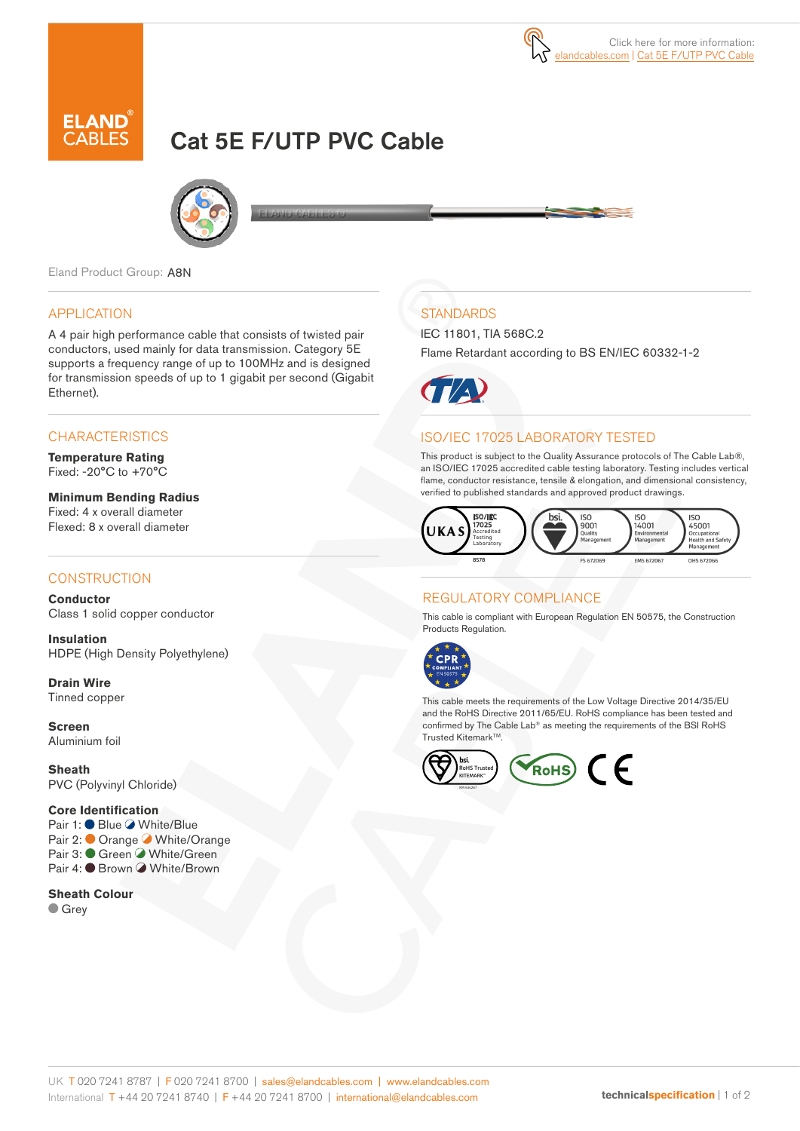# Cat 5E F/UTP PVC Cable



Eland Product Group: A8N

## APPLICATION

A 4 pair high performance cable that consists of twisted pair conductors, used mainly for data transmission. Category 5E supports a frequency range of up to 100MHz and is designed for transmission speeds of up to 1 gigabit per second (Gigabit Ethernet).

## **CHARACTERISTICS**

**Temperature Rating** Fixed: -20°C to +70°C

**Minimum Bending Radius**  Fixed: 4 x overall diameter Flexed: 8 x overall diameter

## **CONSTRUCTION**

**Conductor** Class 1 solid copper conductor

**Insulation** HDPE (High Density Polyethylene)

**Drain Wire** Tinned copper

**Screen** Aluminium foil

**Sheath** PVC (Polyvinyl Chloride)

#### **Core Identification**

Pair 1: ● Blue ● White/Blue Pair 2: ● Orange ● White/Orange Pair 3: Green White/Green Pair 4: ● Brown ● White/Brown

**Sheath Colour Grey** 

## **STANDARDS**

IEC 11801, TIA 568C.2

Flame Retardant according to BS EN/IEC 60332-1-2



## ISO/IEC 17025 LABORATORY TESTED

This product is subject to the Quality Assurance protocols of The Cable Lab®, an ISO/IEC 17025 accredited cable testing laboratory. Testing includes vertical flame, conductor resistance, tensile & elongation, and dimensional consistency, verified to published standards and approved product drawings.



## REGULATORY COMPLIANCE

This cable is compliant with European Regulation EN 50575, the Construction Products Regulation.



This cable meets the requirements of the Low Voltage Directive 2014/35/EU and the RoHS Directive 2011/65/EU. RoHS compliance has been tested and confirmed by The Cable Lab® as meeting the requirements of the BSI RoHS Trusted Kitemark™.